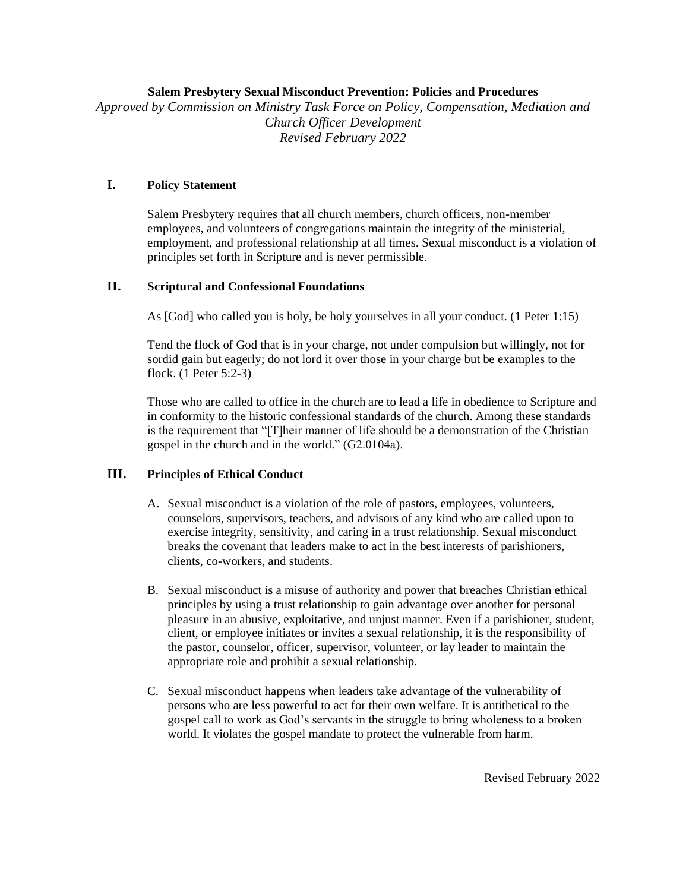#### **Salem Presbytery Sexual Misconduct Prevention: Policies and Procedures**

*Approved by Commission on Ministry Task Force on Policy, Compensation, Mediation and Church Officer Development Revised February 2022*

### **I. Policy Statement**

Salem Presbytery requires that all church members, church officers, non-member employees, and volunteers of congregations maintain the integrity of the ministerial, employment, and professional relationship at all times. Sexual misconduct is a violation of principles set forth in Scripture and is never permissible.

## **II. Scriptural and Confessional Foundations**

As [God] who called you is holy, be holy yourselves in all your conduct. (1 Peter 1:15)

Tend the flock of God that is in your charge, not under compulsion but willingly, not for sordid gain but eagerly; do not lord it over those in your charge but be examples to the flock. (1 Peter 5:2-3)

Those who are called to office in the church are to lead a life in obedience to Scripture and in conformity to the historic confessional standards of the church. Among these standards is the requirement that "[T]heir manner of life should be a demonstration of the Christian gospel in the church and in the world." (G2.0104a).

### **III. Principles of Ethical Conduct**

- A. Sexual misconduct is a violation of the role of pastors, employees, volunteers, counselors, supervisors, teachers, and advisors of any kind who are called upon to exercise integrity, sensitivity, and caring in a trust relationship. Sexual misconduct breaks the covenant that leaders make to act in the best interests of parishioners, clients, co-workers, and students.
- B. Sexual misconduct is a misuse of authority and power that breaches Christian ethical principles by using a trust relationship to gain advantage over another for personal pleasure in an abusive, exploitative, and unjust manner. Even if a parishioner, student, client, or employee initiates or invites a sexual relationship, it is the responsibility of the pastor, counselor, officer, supervisor, volunteer, or lay leader to maintain the appropriate role and prohibit a sexual relationship.
- C. Sexual misconduct happens when leaders take advantage of the vulnerability of persons who are less powerful to act for their own welfare. It is antithetical to the gospel call to work as God's servants in the struggle to bring wholeness to a broken world. It violates the gospel mandate to protect the vulnerable from harm.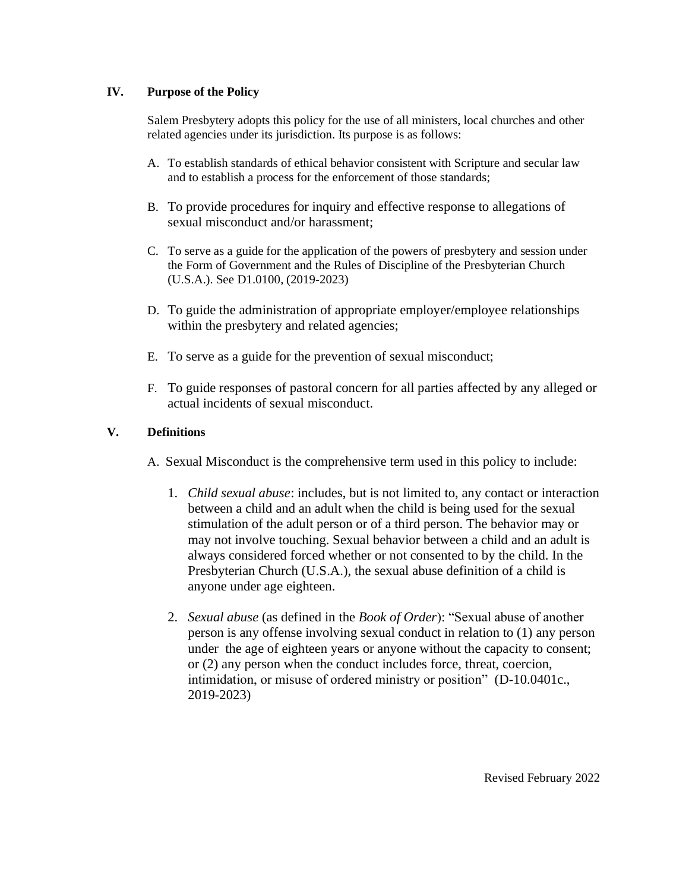## **IV. Purpose of the Policy**

Salem Presbytery adopts this policy for the use of all ministers, local churches and other related agencies under its jurisdiction. Its purpose is as follows:

- A. To establish standards of ethical behavior consistent with Scripture and secular law and to establish a process for the enforcement of those standards;
- B. To provide procedures for inquiry and effective response to allegations of sexual misconduct and/or harassment;
- C. To serve as a guide for the application of the powers of presbytery and session under the Form of Government and the Rules of Discipline of the Presbyterian Church (U.S.A.). See D1.0100, (2019-2023)
- D. To guide the administration of appropriate employer/employee relationships within the presbytery and related agencies;
- E. To serve as a guide for the prevention of sexual misconduct;
- F. To guide responses of pastoral concern for all parties affected by any alleged or actual incidents of sexual misconduct.

## **V. Definitions**

- A. Sexual Misconduct is the comprehensive term used in this policy to include:
	- 1. *Child sexual abuse*: includes, but is not limited to, any contact or interaction between a child and an adult when the child is being used for the sexual stimulation of the adult person or of a third person. The behavior may or may not involve touching. Sexual behavior between a child and an adult is always considered forced whether or not consented to by the child. In the Presbyterian Church (U.S.A.), the sexual abuse definition of a child is anyone under age eighteen.
	- 2. *Sexual abuse* (as defined in the *Book of Order*): "Sexual abuse of another person is any offense involving sexual conduct in relation to (1) any person under the age of eighteen years or anyone without the capacity to consent; or (2) any person when the conduct includes force, threat, coercion, intimidation, or misuse of ordered ministry or position" (D-10.0401c., 2019-2023)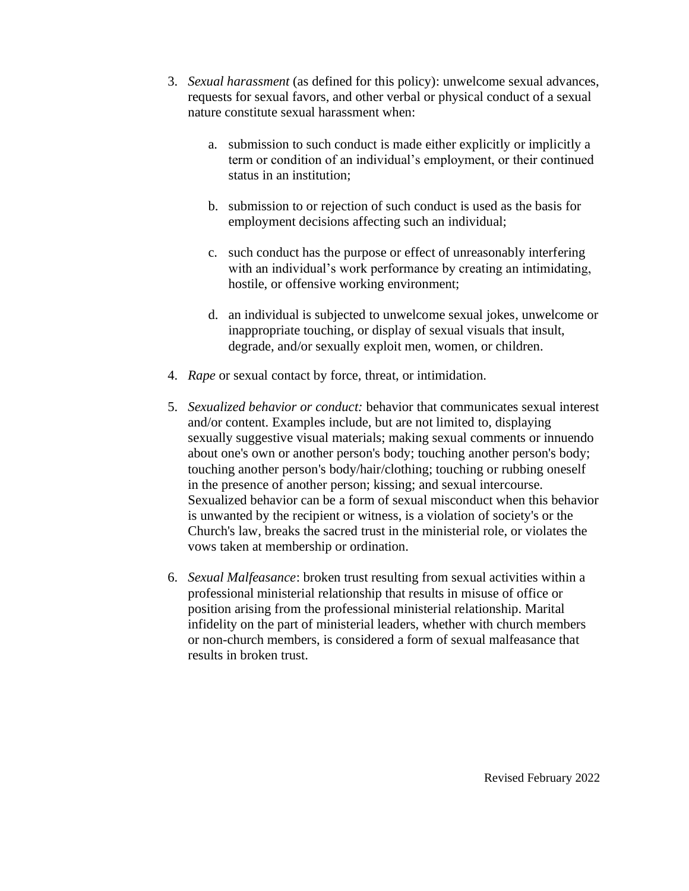- 3. *Sexual harassment* (as defined for this policy): unwelcome sexual advances, requests for sexual favors, and other verbal or physical conduct of a sexual nature constitute sexual harassment when:
	- a. submission to such conduct is made either explicitly or implicitly a term or condition of an individual's employment, or their continued status in an institution;
	- b. submission to or rejection of such conduct is used as the basis for employment decisions affecting such an individual;
	- c. such conduct has the purpose or effect of unreasonably interfering with an individual's work performance by creating an intimidating, hostile, or offensive working environment;
	- d. an individual is subjected to unwelcome sexual jokes, unwelcome or inappropriate touching, or display of sexual visuals that insult, degrade, and/or sexually exploit men, women, or children.
- 4. *Rape* or sexual contact by force, threat, or intimidation.
- 5. *Sexualized behavior or conduct:* behavior that communicates sexual interest and/or content. Examples include, but are not limited to, displaying sexually suggestive visual materials; making sexual comments or innuendo about one's own or another person's body; touching another person's body; touching another person's body/hair/clothing; touching or rubbing oneself in the presence of another person; kissing; and sexual intercourse. Sexualized behavior can be a form of sexual misconduct when this behavior is unwanted by the recipient or witness, is a violation of society's or the Church's law, breaks the sacred trust in the ministerial role, or violates the vows taken at membership or ordination.
- 6. *Sexual Malfeasance*: broken trust resulting from sexual activities within a professional ministerial relationship that results in misuse of office or position arising from the professional ministerial relationship. Marital infidelity on the part of ministerial leaders, whether with church members or non-church members, is considered a form of sexual malfeasance that results in broken trust.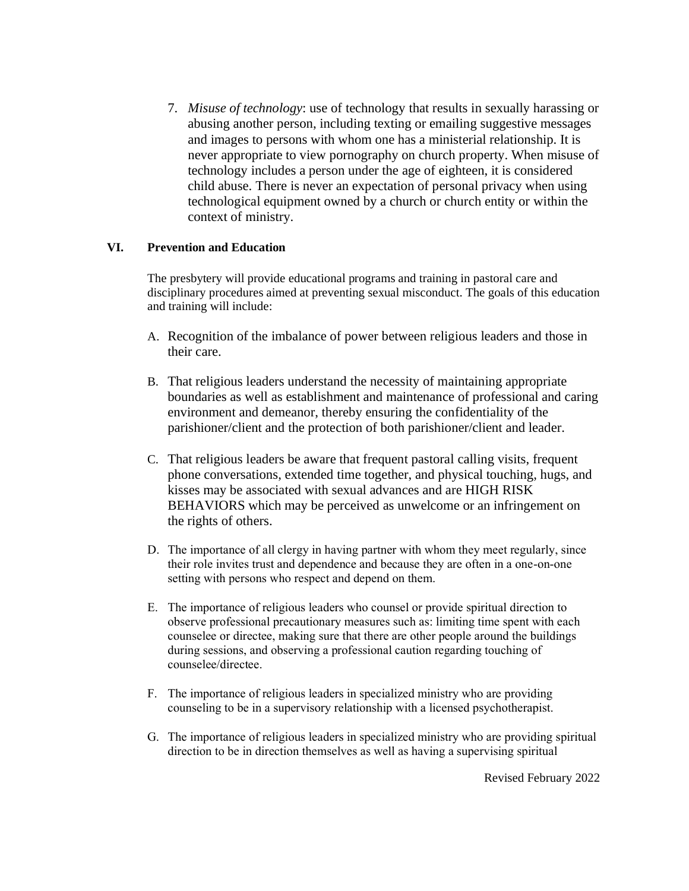7. *Misuse of technology*: use of technology that results in sexually harassing or abusing another person, including texting or emailing suggestive messages and images to persons with whom one has a ministerial relationship. It is never appropriate to view pornography on church property. When misuse of technology includes a person under the age of eighteen, it is considered child abuse. There is never an expectation of personal privacy when using technological equipment owned by a church or church entity or within the context of ministry.

## **VI. Prevention and Education**

The presbytery will provide educational programs and training in pastoral care and disciplinary procedures aimed at preventing sexual misconduct. The goals of this education and training will include:

- A. Recognition of the imbalance of power between religious leaders and those in their care.
- B. That religious leaders understand the necessity of maintaining appropriate boundaries as well as establishment and maintenance of professional and caring environment and demeanor, thereby ensuring the confidentiality of the parishioner/client and the protection of both parishioner/client and leader.
- C. That religious leaders be aware that frequent pastoral calling visits, frequent phone conversations, extended time together, and physical touching, hugs, and kisses may be associated with sexual advances and are HIGH RISK BEHAVIORS which may be perceived as unwelcome or an infringement on the rights of others.
- D. The importance of all clergy in having partner with whom they meet regularly, since their role invites trust and dependence and because they are often in a one-on-one setting with persons who respect and depend on them.
- E. The importance of religious leaders who counsel or provide spiritual direction to observe professional precautionary measures such as: limiting time spent with each counselee or directee, making sure that there are other people around the buildings during sessions, and observing a professional caution regarding touching of counselee/directee.
- F. The importance of religious leaders in specialized ministry who are providing counseling to be in a supervisory relationship with a licensed psychotherapist.
- G. The importance of religious leaders in specialized ministry who are providing spiritual direction to be in direction themselves as well as having a supervising spiritual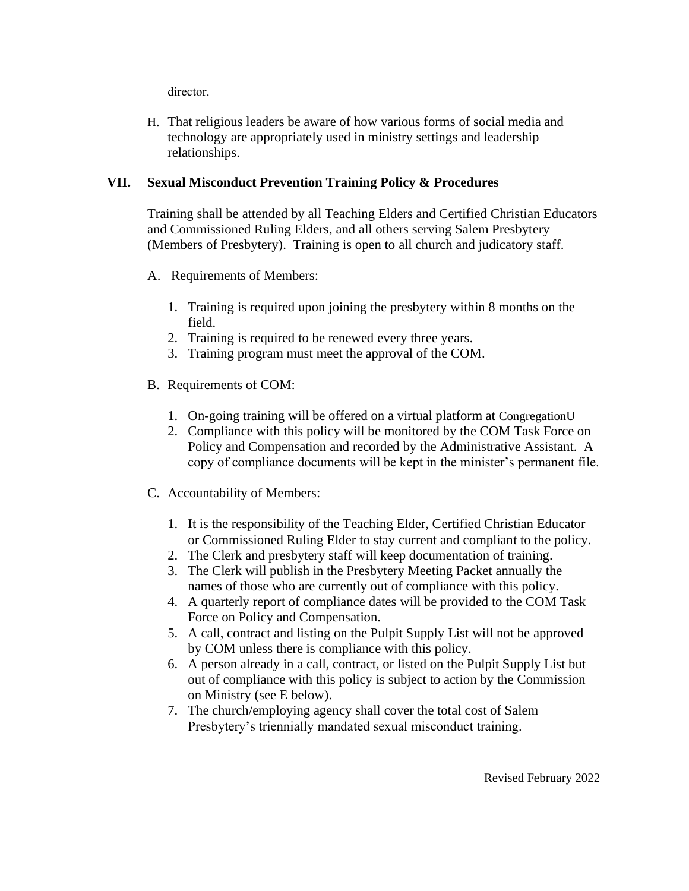director.

H. That religious leaders be aware of how various forms of social media and technology are appropriately used in ministry settings and leadership relationships.

# **VII. Sexual Misconduct Prevention Training Policy & Procedures**

Training shall be attended by all Teaching Elders and Certified Christian Educators and Commissioned Ruling Elders, and all others serving Salem Presbytery (Members of Presbytery). Training is open to all church and judicatory staff.

- A. Requirements of Members:
	- 1. Training is required upon joining the presbytery within 8 months on the field.
	- 2. Training is required to be renewed every three years.
	- 3. Training program must meet the approval of the COM.
- B. Requirements of COM:
	- 1. On-going training will be offered on a virtual platform at [CongregationU](https://congregationu.com/)
	- 2. Compliance with this policy will be monitored by the COM Task Force on Policy and Compensation and recorded by the Administrative Assistant. A copy of compliance documents will be kept in the minister's permanent file.
- C. Accountability of Members:
	- 1. It is the responsibility of the Teaching Elder, Certified Christian Educator or Commissioned Ruling Elder to stay current and compliant to the policy.
	- 2. The Clerk and presbytery staff will keep documentation of training.
	- 3. The Clerk will publish in the Presbytery Meeting Packet annually the names of those who are currently out of compliance with this policy.
	- 4. A quarterly report of compliance dates will be provided to the COM Task Force on Policy and Compensation.
	- 5. A call, contract and listing on the Pulpit Supply List will not be approved by COM unless there is compliance with this policy.
	- 6. A person already in a call, contract, or listed on the Pulpit Supply List but out of compliance with this policy is subject to action by the Commission on Ministry (see E below).
	- 7. The church/employing agency shall cover the total cost of Salem Presbytery's triennially mandated sexual misconduct training.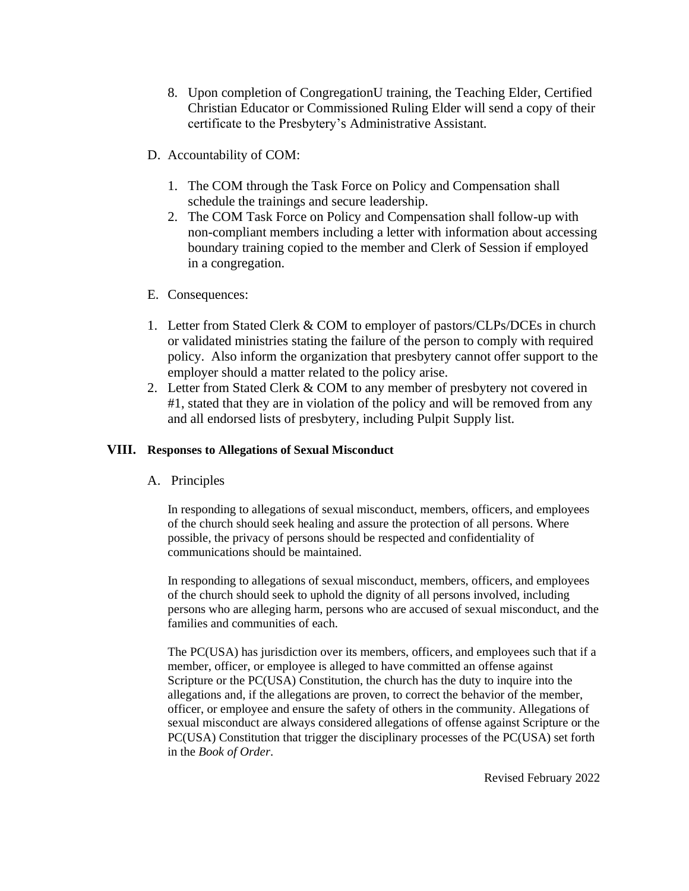- 8. Upon completion of CongregationU training, the Teaching Elder, Certified Christian Educator or Commissioned Ruling Elder will send a copy of their certificate to the Presbytery's Administrative Assistant.
- D. Accountability of COM:
	- 1. The COM through the Task Force on Policy and Compensation shall schedule the trainings and secure leadership.
	- 2. The COM Task Force on Policy and Compensation shall follow-up with non-compliant members including a letter with information about accessing boundary training copied to the member and Clerk of Session if employed in a congregation.
- E. Consequences:
- 1. Letter from Stated Clerk & COM to employer of pastors/CLPs/DCEs in church or validated ministries stating the failure of the person to comply with required policy. Also inform the organization that presbytery cannot offer support to the employer should a matter related to the policy arise.
- 2. Letter from Stated Clerk & COM to any member of presbytery not covered in #1, stated that they are in violation of the policy and will be removed from any and all endorsed lists of presbytery, including Pulpit Supply list.

## **VIII. Responses to Allegations of Sexual Misconduct**

A. Principles

In responding to allegations of sexual misconduct, members, officers, and employees of the church should seek healing and assure the protection of all persons. Where possible, the privacy of persons should be respected and confidentiality of communications should be maintained.

In responding to allegations of sexual misconduct, members, officers, and employees of the church should seek to uphold the dignity of all persons involved, including persons who are alleging harm, persons who are accused of sexual misconduct, and the families and communities of each.

The PC(USA) has jurisdiction over its members, officers, and employees such that if a member, officer, or employee is alleged to have committed an offense against Scripture or the PC(USA) Constitution, the church has the duty to inquire into the allegations and, if the allegations are proven, to correct the behavior of the member, officer, or employee and ensure the safety of others in the community. Allegations of sexual misconduct are always considered allegations of offense against Scripture or the PC(USA) Constitution that trigger the disciplinary processes of the PC(USA) set forth in the *Book of Order*.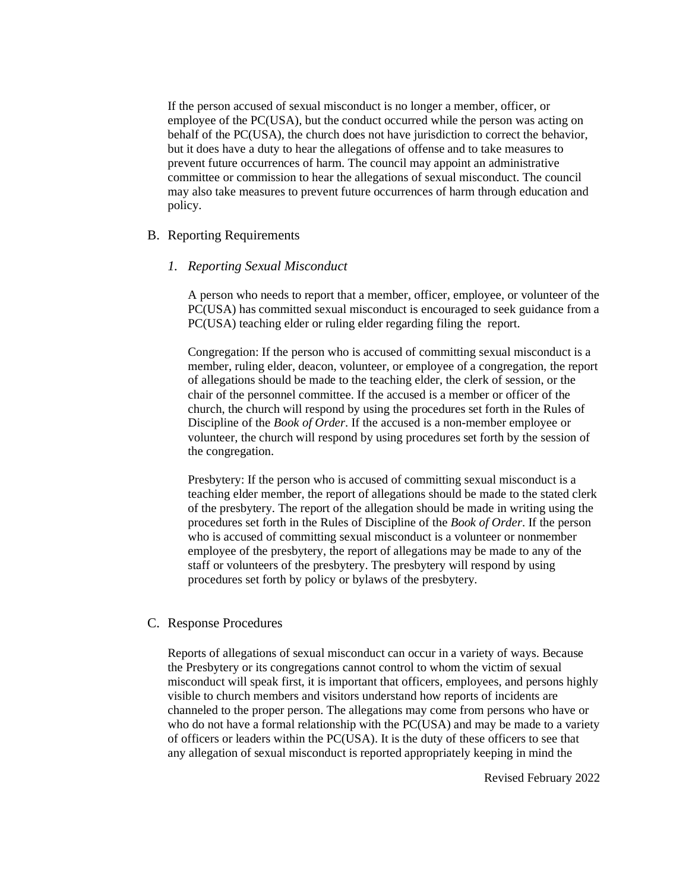If the person accused of sexual misconduct is no longer a member, officer, or employee of the PC(USA), but the conduct occurred while the person was acting on behalf of the PC(USA), the church does not have jurisdiction to correct the behavior, but it does have a duty to hear the allegations of offense and to take measures to prevent future occurrences of harm. The council may appoint an administrative committee or commission to hear the allegations of sexual misconduct. The council may also take measures to prevent future occurrences of harm through education and policy.

### B. Reporting Requirements

#### *1. Reporting Sexual Misconduct*

A person who needs to report that a member, officer, employee, or volunteer of the PC(USA) has committed sexual misconduct is encouraged to seek guidance from a PC(USA) teaching elder or ruling elder regarding filing the report.

Congregation: If the person who is accused of committing sexual misconduct is a member, ruling elder, deacon, volunteer, or employee of a congregation, the report of allegations should be made to the teaching elder, the clerk of session, or the chair of the personnel committee. If the accused is a member or officer of the church, the church will respond by using the procedures set forth in the Rules of Discipline of the *Book of Order*. If the accused is a non-member employee or volunteer, the church will respond by using procedures set forth by the session of the congregation.

Presbytery: If the person who is accused of committing sexual misconduct is a teaching elder member, the report of allegations should be made to the stated clerk of the presbytery. The report of the allegation should be made in writing using the procedures set forth in the Rules of Discipline of the *Book of Order*. If the person who is accused of committing sexual misconduct is a volunteer or nonmember employee of the presbytery, the report of allegations may be made to any of the staff or volunteers of the presbytery. The presbytery will respond by using procedures set forth by policy or bylaws of the presbytery.

#### C. Response Procedures

Reports of allegations of sexual misconduct can occur in a variety of ways. Because the Presbytery or its congregations cannot control to whom the victim of sexual misconduct will speak first, it is important that officers, employees, and persons highly visible to church members and visitors understand how reports of incidents are channeled to the proper person. The allegations may come from persons who have or who do not have a formal relationship with the PC(USA) and may be made to a variety of officers or leaders within the PC(USA). It is the duty of these officers to see that any allegation of sexual misconduct is reported appropriately keeping in mind the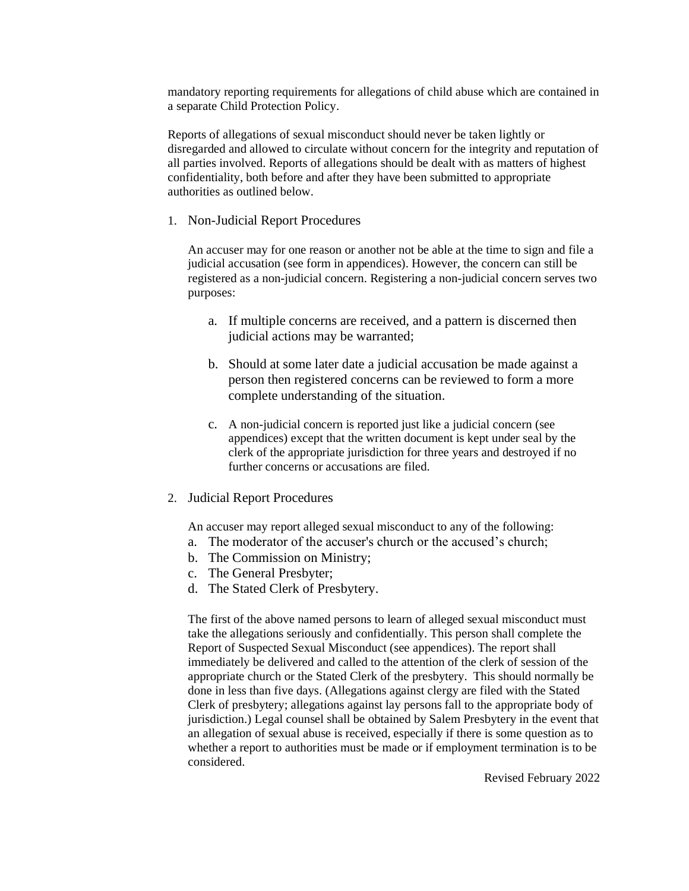mandatory reporting requirements for allegations of child abuse which are contained in a separate Child Protection Policy.

Reports of allegations of sexual misconduct should never be taken lightly or disregarded and allowed to circulate without concern for the integrity and reputation of all parties involved. Reports of allegations should be dealt with as matters of highest confidentiality, both before and after they have been submitted to appropriate authorities as outlined below.

1. Non-Judicial Report Procedures

An accuser may for one reason or another not be able at the time to sign and file a judicial accusation (see form in appendices). However, the concern can still be registered as a non-judicial concern. Registering a non-judicial concern serves two purposes:

- a. If multiple concerns are received, and a pattern is discerned then judicial actions may be warranted;
- b. Should at some later date a judicial accusation be made against a person then registered concerns can be reviewed to form a more complete understanding of the situation.
- c. A non-judicial concern is reported just like a judicial concern (see appendices) except that the written document is kept under seal by the clerk of the appropriate jurisdiction for three years and destroyed if no further concerns or accusations are filed.
- 2. Judicial Report Procedures

An accuser may report alleged sexual misconduct to any of the following:

- a. The moderator of the accuser's church or the accused's church;
- b. The Commission on Ministry;
- c. The General Presbyter;
- d. The Stated Clerk of Presbytery.

The first of the above named persons to learn of alleged sexual misconduct must take the allegations seriously and confidentially. This person shall complete the Report of Suspected Sexual Misconduct (see appendices). The report shall immediately be delivered and called to the attention of the clerk of session of the appropriate church or the Stated Clerk of the presbytery. This should normally be done in less than five days. (Allegations against clergy are filed with the Stated Clerk of presbytery; allegations against lay persons fall to the appropriate body of jurisdiction.) Legal counsel shall be obtained by Salem Presbytery in the event that an allegation of sexual abuse is received, especially if there is some question as to whether a report to authorities must be made or if employment termination is to be considered.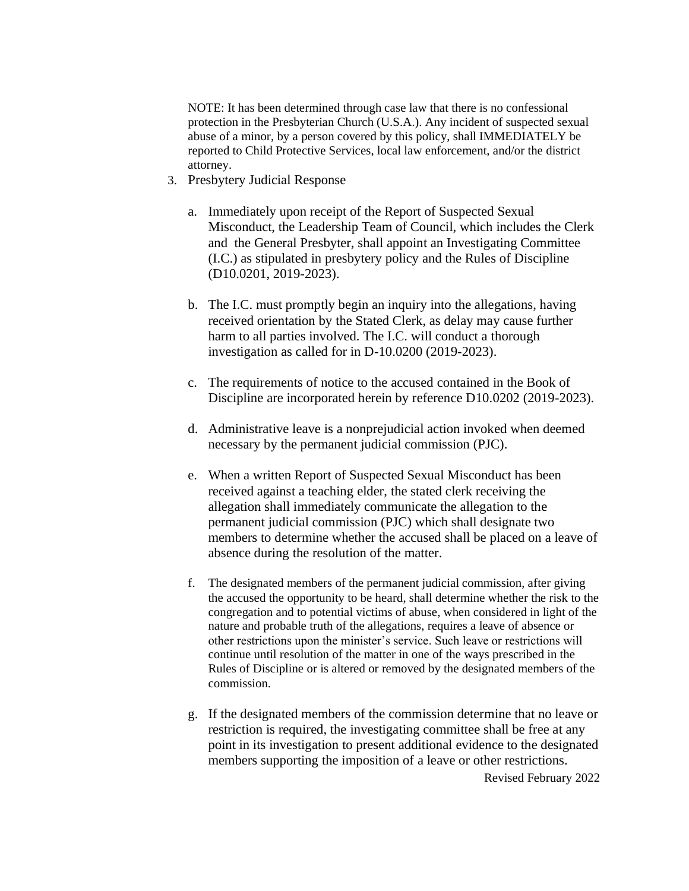NOTE: It has been determined through case law that there is no confessional protection in the Presbyterian Church (U.S.A.). Any incident of suspected sexual abuse of a minor, by a person covered by this policy, shall IMMEDIATELY be reported to Child Protective Services, local law enforcement, and/or the district attorney.

- 3. Presbytery Judicial Response
	- a. Immediately upon receipt of the Report of Suspected Sexual Misconduct, the Leadership Team of Council, which includes the Clerk and the General Presbyter, shall appoint an Investigating Committee (I.C.) as stipulated in presbytery policy and the Rules of Discipline (D10.0201, 2019-2023).
	- b. The I.C. must promptly begin an inquiry into the allegations, having received orientation by the Stated Clerk, as delay may cause further harm to all parties involved. The I.C. will conduct a thorough investigation as called for in D-10.0200 (2019-2023).
	- c. The requirements of notice to the accused contained in the Book of Discipline are incorporated herein by reference D10.0202 (2019-2023).
	- d. Administrative leave is a nonprejudicial action invoked when deemed necessary by the permanent judicial commission (PJC).
	- e. When a written Report of Suspected Sexual Misconduct has been received against a teaching elder, the stated clerk receiving the allegation shall immediately communicate the allegation to the permanent judicial commission (PJC) which shall designate two members to determine whether the accused shall be placed on a leave of absence during the resolution of the matter.
	- f. The designated members of the permanent judicial commission, after giving the accused the opportunity to be heard, shall determine whether the risk to the congregation and to potential victims of abuse, when considered in light of the nature and probable truth of the allegations, requires a leave of absence or other restrictions upon the minister's service. Such leave or restrictions will continue until resolution of the matter in one of the ways prescribed in the Rules of Discipline or is altered or removed by the designated members of the commission.
	- g. If the designated members of the commission determine that no leave or restriction is required, the investigating committee shall be free at any point in its investigation to present additional evidence to the designated members supporting the imposition of a leave or other restrictions.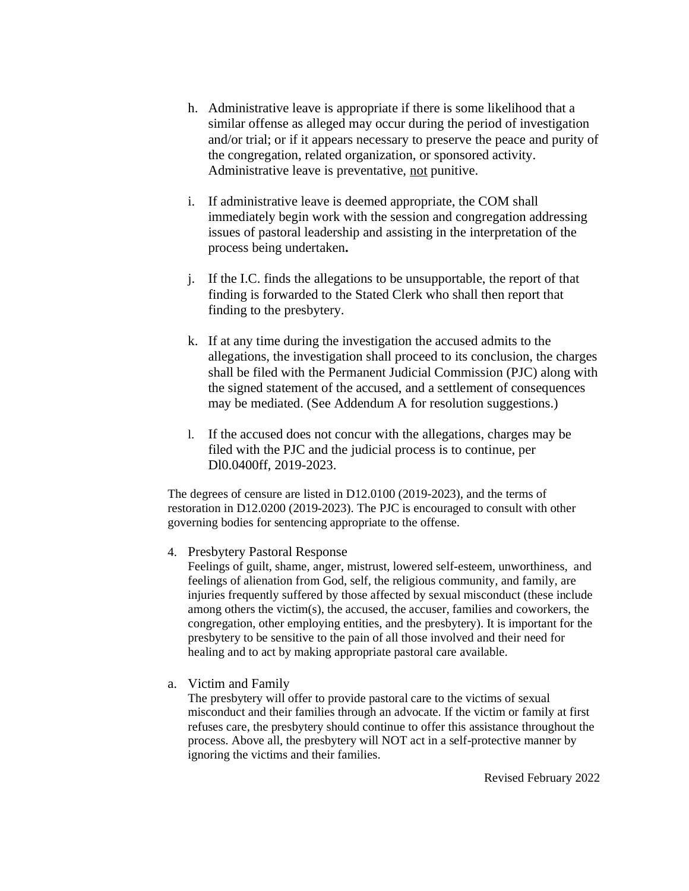- h. Administrative leave is appropriate if there is some likelihood that a similar offense as alleged may occur during the period of investigation and/or trial; or if it appears necessary to preserve the peace and purity of the congregation, related organization, or sponsored activity. Administrative leave is preventative, not punitive.
- i. If administrative leave is deemed appropriate, the COM shall immediately begin work with the session and congregation addressing issues of pastoral leadership and assisting in the interpretation of the process being undertaken**.**
- j. If the I.C. finds the allegations to be unsupportable, the report of that finding is forwarded to the Stated Clerk who shall then report that finding to the presbytery.
- k. If at any time during the investigation the accused admits to the allegations, the investigation shall proceed to its conclusion, the charges shall be filed with the Permanent Judicial Commission (PJC) along with the signed statement of the accused, and a settlement of consequences may be mediated. (See Addendum A for resolution suggestions.)
- l. If the accused does not concur with the allegations, charges may be filed with the PJC and the judicial process is to continue, per Dl0.0400ff, 2019-2023.

The degrees of censure are listed in D12.0100 (2019-2023), and the terms of restoration in D12.0200 (2019-2023). The PJC is encouraged to consult with other governing bodies for sentencing appropriate to the offense.

### 4. Presbytery Pastoral Response

Feelings of guilt, shame, anger, mistrust, lowered self-esteem, unworthiness, and feelings of alienation from God, self, the religious community, and family, are injuries frequently suffered by those affected by sexual misconduct (these include among others the victim(s), the accused, the accuser, families and coworkers, the congregation, other employing entities, and the presbytery). It is important for the presbytery to be sensitive to the pain of all those involved and their need for healing and to act by making appropriate pastoral care available.

a. Victim and Family

The presbytery will offer to provide pastoral care to the victims of sexual misconduct and their families through an advocate. If the victim or family at first refuses care, the presbytery should continue to offer this assistance throughout the process. Above all, the presbytery will NOT act in a self-protective manner by ignoring the victims and their families.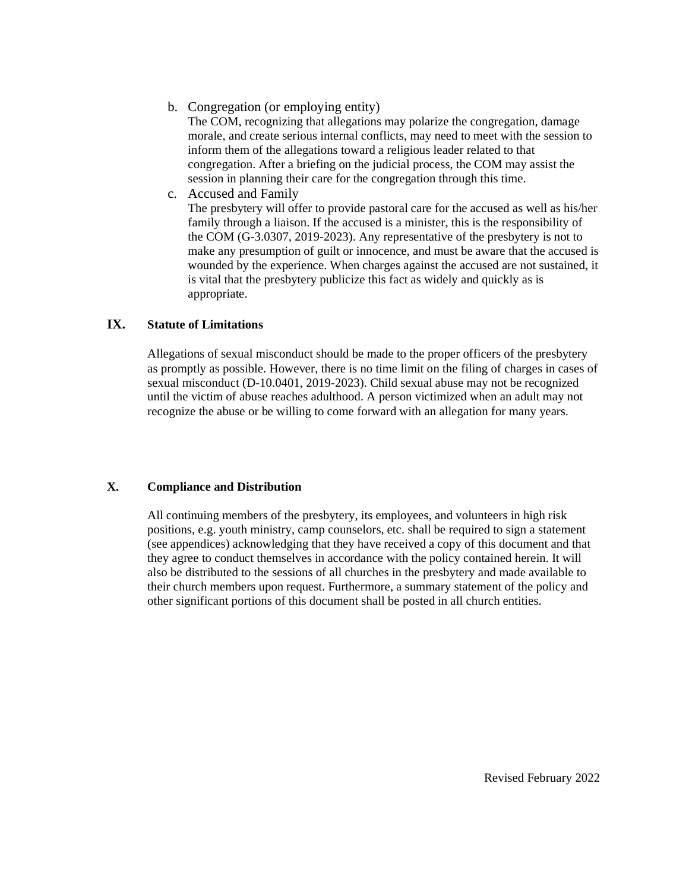b. Congregation (or employing entity)

The COM, recognizing that allegations may polarize the congregation, damage morale, and create serious internal conflicts, may need to meet with the session to inform them of the allegations toward a religious leader related to that congregation. After a briefing on the judicial process, the COM may assist the session in planning their care for the congregation through this time.

c. Accused and Family

The presbytery will offer to provide pastoral care for the accused as well as his/her family through a liaison. If the accused is a minister, this is the responsibility of the COM (G-3.0307, 2019-2023). Any representative of the presbytery is not to make any presumption of guilt or innocence, and must be aware that the accused is wounded by the experience. When charges against the accused are not sustained, it is vital that the presbytery publicize this fact as widely and quickly as is appropriate.

## **IX. Statute of Limitations**

Allegations of sexual misconduct should be made to the proper officers of the presbytery as promptly as possible. However, there is no time limit on the filing of charges in cases of sexual misconduct (D-10.0401, 2019-2023). Child sexual abuse may not be recognized until the victim of abuse reaches adulthood. A person victimized when an adult may not recognize the abuse or be willing to come forward with an allegation for many years.

### **X. Compliance and Distribution**

All continuing members of the presbytery, its employees, and volunteers in high risk positions, e.g. youth ministry, camp counselors, etc. shall be required to sign a statement (see appendices) acknowledging that they have received a copy of this document and that they agree to conduct themselves in accordance with the policy contained herein. It will also be distributed to the sessions of all churches in the presbytery and made available to their church members upon request. Furthermore, a summary statement of the policy and other significant portions of this document shall be posted in all church entities.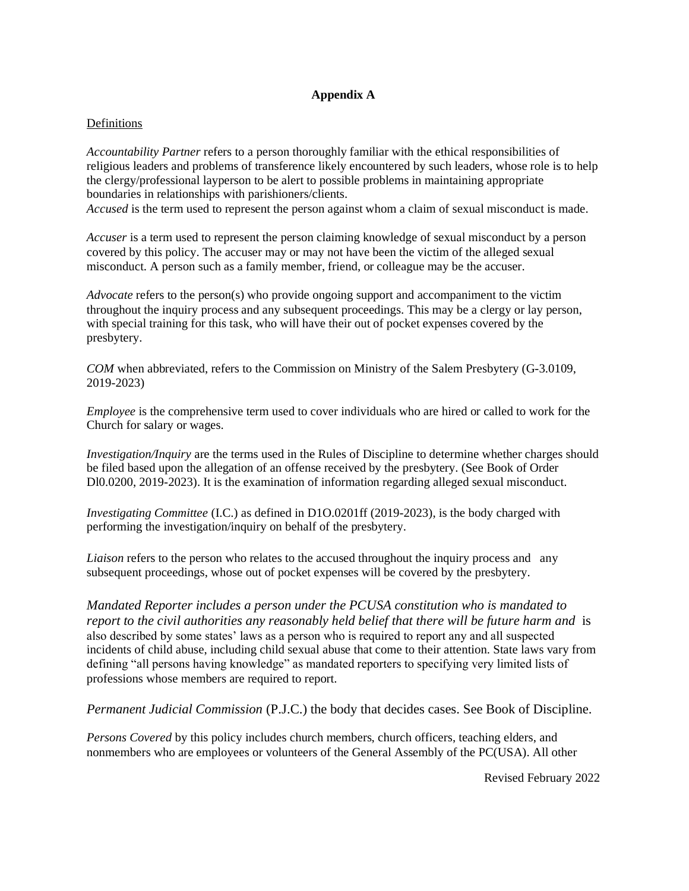## **Appendix A**

### Definitions

*Accountability Partner* refers to a person thoroughly familiar with the ethical responsibilities of religious leaders and problems of transference likely encountered by such leaders, whose role is to help the clergy/professional layperson to be alert to possible problems in maintaining appropriate boundaries in relationships with parishioners/clients.

*Accused* is the term used to represent the person against whom a claim of sexual misconduct is made.

*Accuser* is a term used to represent the person claiming knowledge of sexual misconduct by a person covered by this policy. The accuser may or may not have been the victim of the alleged sexual misconduct. A person such as a family member, friend, or colleague may be the accuser.

*Advocate* refers to the person(s) who provide ongoing support and accompaniment to the victim throughout the inquiry process and any subsequent proceedings. This may be a clergy or lay person, with special training for this task, who will have their out of pocket expenses covered by the presbytery.

*COM* when abbreviated, refers to the Commission on Ministry of the Salem Presbytery (G-3.0109, 2019-2023)

*Employee* is the comprehensive term used to cover individuals who are hired or called to work for the Church for salary or wages.

*Investigation/Inquiry* are the terms used in the Rules of Discipline to determine whether charges should be filed based upon the allegation of an offense received by the presbytery. (See Book of Order Dl0.0200, 2019-2023). It is the examination of information regarding alleged sexual misconduct.

*Investigating Committee* (I.C.) as defined in D1O.0201ff (2019-2023), is the body charged with performing the investigation/inquiry on behalf of the presbytery.

*Liaison* refers to the person who relates to the accused throughout the inquiry process and any subsequent proceedings, whose out of pocket expenses will be covered by the presbytery.

*Mandated Reporter includes a person under the PCUSA constitution who is mandated to report to the civil authorities any reasonably held belief that there will be future harm and* is also described by some states' laws as a person who is required to report any and all suspected incidents of child abuse, including child sexual abuse that come to their attention. State laws vary from defining "all persons having knowledge" as mandated reporters to specifying very limited lists of professions whose members are required to report.

*Permanent Judicial Commission* (P.J.C.) the body that decides cases. See Book of Discipline.

*Persons Covered* by this policy includes church members, church officers, teaching elders, and nonmembers who are employees or volunteers of the General Assembly of the PC(USA). All other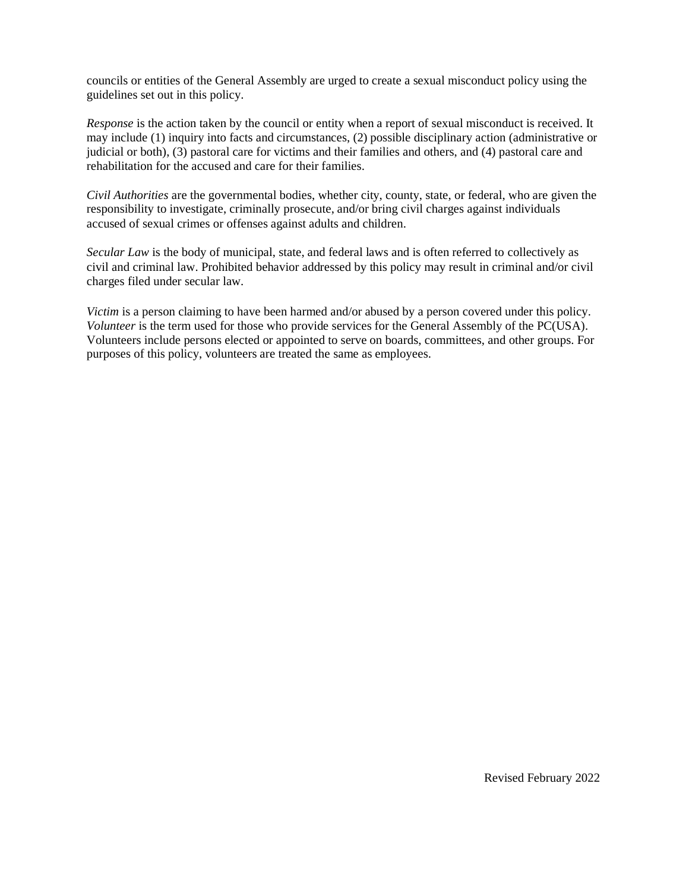councils or entities of the General Assembly are urged to create a sexual misconduct policy using the guidelines set out in this policy.

*Response* is the action taken by the council or entity when a report of sexual misconduct is received. It may include (1) inquiry into facts and circumstances, (2) possible disciplinary action (administrative or judicial or both), (3) pastoral care for victims and their families and others, and (4) pastoral care and rehabilitation for the accused and care for their families.

*Civil Authorities* are the governmental bodies, whether city, county, state, or federal, who are given the responsibility to investigate, criminally prosecute, and/or bring civil charges against individuals accused of sexual crimes or offenses against adults and children.

*Secular Law* is the body of municipal, state, and federal laws and is often referred to collectively as civil and criminal law. Prohibited behavior addressed by this policy may result in criminal and/or civil charges filed under secular law.

*Victim* is a person claiming to have been harmed and/or abused by a person covered under this policy. *Volunteer* is the term used for those who provide services for the General Assembly of the PC(USA). Volunteers include persons elected or appointed to serve on boards, committees, and other groups. For purposes of this policy, volunteers are treated the same as employees.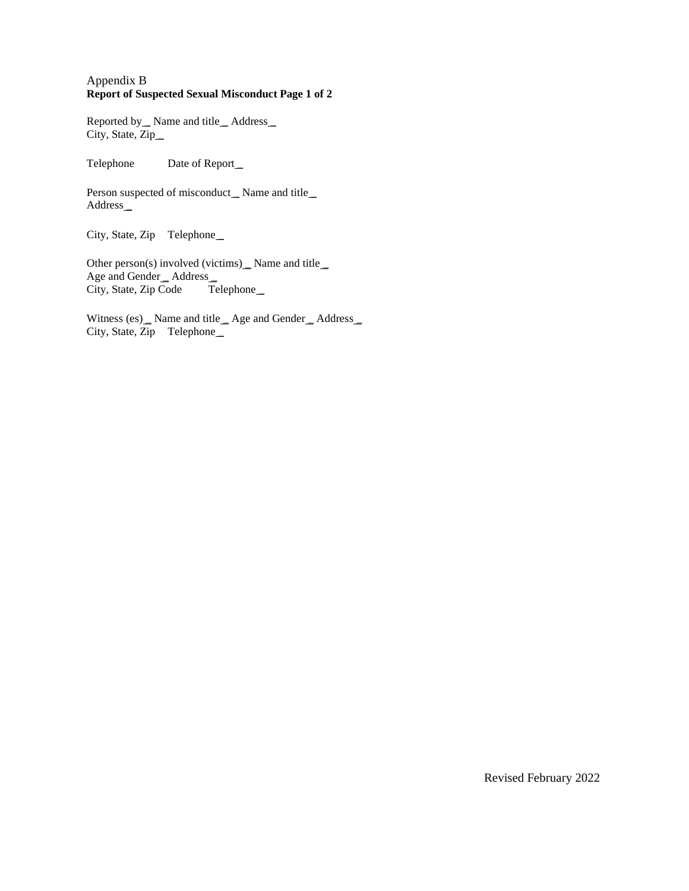#### Appendix B **Report of Suspected Sexual Misconduct Page 1 of 2**

Reported by \_ Name and title \_ Address \_ City, State, Zip\_

Telephone Date of Report\_

Person suspected of misconduct\_Name and title\_ Address\_

City, State, Zip Telephone\_

Other person(s) involved (victims) Name and title Age and Gender \_Address \_ City, State, Zip Code Telephone

Witness (es) \_ Name and title \_ Age and Gender \_ Address \_ City, State, Zip Telephone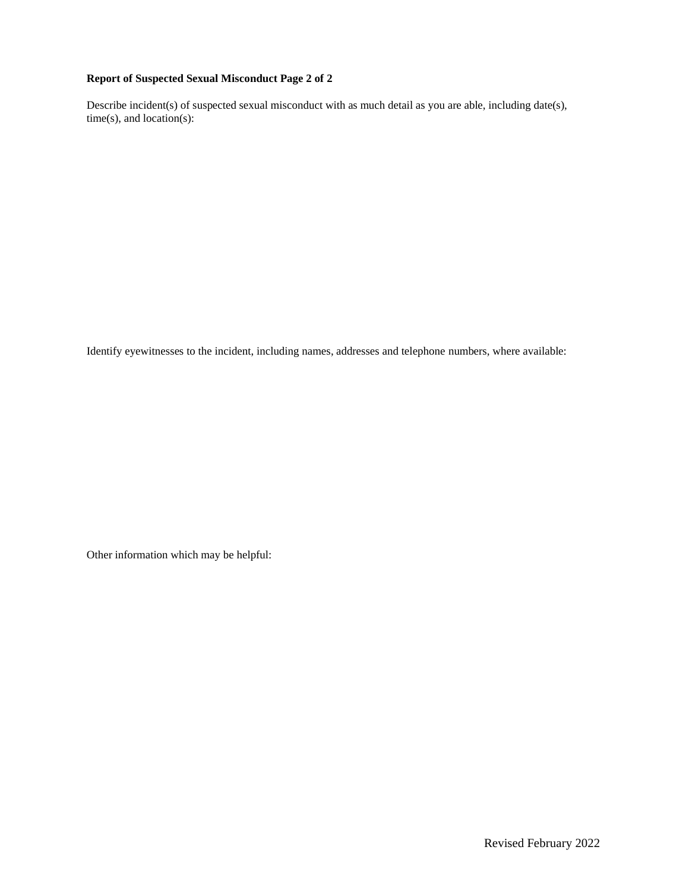#### **Report of Suspected Sexual Misconduct Page 2 of 2**

Describe incident(s) of suspected sexual misconduct with as much detail as you are able, including date(s), time(s), and location(s):

Identify eyewitnesses to the incident, including names, addresses and telephone numbers, where available:

Other information which may be helpful: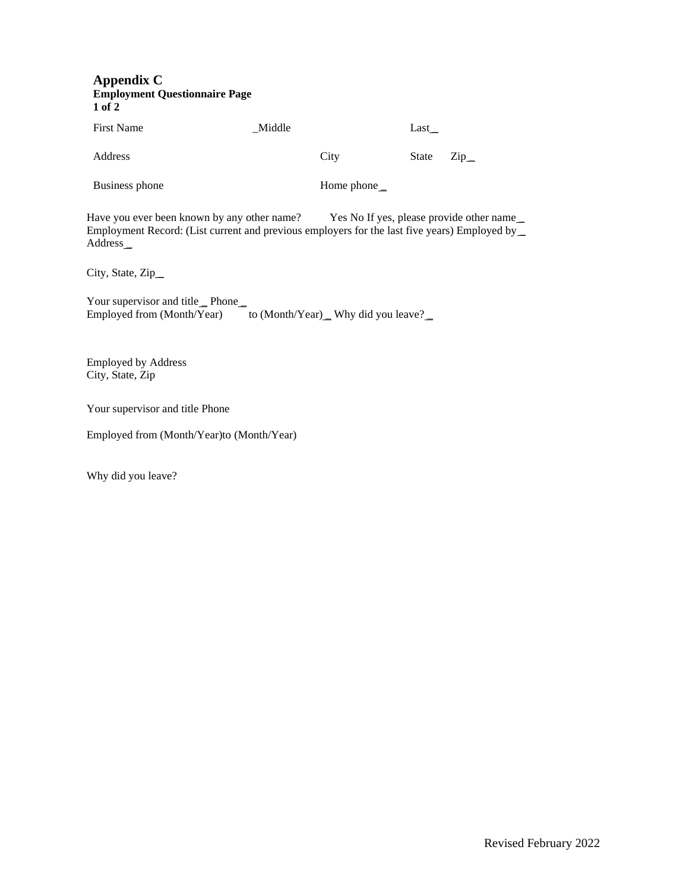#### **Appendix C Employment Questionnaire Page 1 of 2**

First Name \_Middle Last \_

Address City State Zip

Business phone Home phone Home phone

Have you ever been known by any other name? Yes No If yes, please provide other name Employment Record: (List current and previous employers for the last five years) Employed by \_ Address \_

City, State, Zip\_

Your supervisor and title\_Phone\_ Employed from (Month/Year) to (Month/Year) \_ Why did you leave?

Employed by Address City, State, Zip

Your supervisor and title Phone

Employed from (Month/Year)to (Month/Year)

Why did you leave?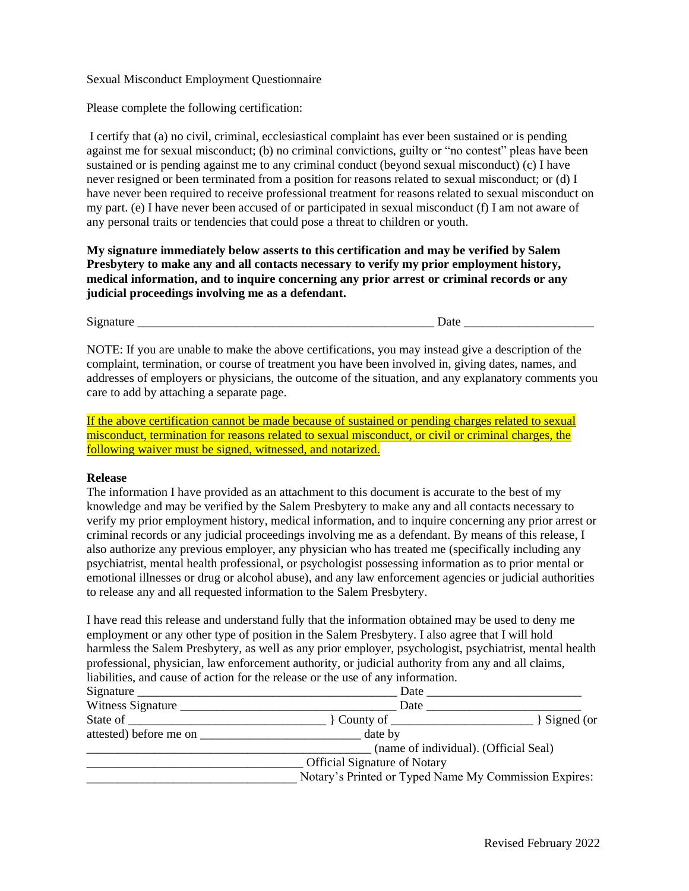#### Sexual Misconduct Employment Questionnaire

Please complete the following certification:

I certify that (a) no civil, criminal, ecclesiastical complaint has ever been sustained or is pending against me for sexual misconduct; (b) no criminal convictions, guilty or "no contest" pleas have been sustained or is pending against me to any criminal conduct (beyond sexual misconduct) (c) I have never resigned or been terminated from a position for reasons related to sexual misconduct; or (d) I have never been required to receive professional treatment for reasons related to sexual misconduct on my part. (e) I have never been accused of or participated in sexual misconduct (f) I am not aware of any personal traits or tendencies that could pose a threat to children or youth.

**My signature immediately below asserts to this certification and may be verified by Salem Presbytery to make any and all contacts necessary to verify my prior employment history, medical information, and to inquire concerning any prior arrest or criminal records or any judicial proceedings involving me as a defendant.** 

Signature \_\_\_\_\_\_\_\_\_\_\_\_\_\_\_\_\_\_\_\_\_\_\_\_\_\_\_\_\_\_\_\_\_\_\_\_\_\_\_\_\_\_\_\_\_\_\_\_ Date \_\_\_\_\_\_\_\_\_\_\_\_\_\_\_\_\_\_\_\_\_

NOTE: If you are unable to make the above certifications, you may instead give a description of the complaint, termination, or course of treatment you have been involved in, giving dates, names, and addresses of employers or physicians, the outcome of the situation, and any explanatory comments you care to add by attaching a separate page.

If the above certification cannot be made because of sustained or pending charges related to sexual misconduct, termination for reasons related to sexual misconduct, or civil or criminal charges, the following waiver must be signed, witnessed, and notarized.

#### **Release**

The information I have provided as an attachment to this document is accurate to the best of my knowledge and may be verified by the Salem Presbytery to make any and all contacts necessary to verify my prior employment history, medical information, and to inquire concerning any prior arrest or criminal records or any judicial proceedings involving me as a defendant. By means of this release, I also authorize any previous employer, any physician who has treated me (specifically including any psychiatrist, mental health professional, or psychologist possessing information as to prior mental or emotional illnesses or drug or alcohol abuse), and any law enforcement agencies or judicial authorities to release any and all requested information to the Salem Presbytery.

I have read this release and understand fully that the information obtained may be used to deny me employment or any other type of position in the Salem Presbytery. I also agree that I will hold harmless the Salem Presbytery, as well as any prior employer, psychologist, psychiatrist, mental health professional, physician, law enforcement authority, or judicial authority from any and all claims, liabilities, and cause of action for the release or the use of any information.

| Signature $\overline{\phantom{a}}$ | Date                                                                  |
|------------------------------------|-----------------------------------------------------------------------|
| Witness Signature                  | Date                                                                  |
| State of                           | $\}$ County of $\_\_\_\_\_\_\_\_\_\_\_\_\_\_\_\_\_\_\_$<br>Signed (or |
| attested) before me on             | date by                                                               |
|                                    | (name of individual). (Official Seal)                                 |
|                                    | <b>Official Signature of Notary</b>                                   |
|                                    | Notary's Printed or Typed Name My Commission Expires:                 |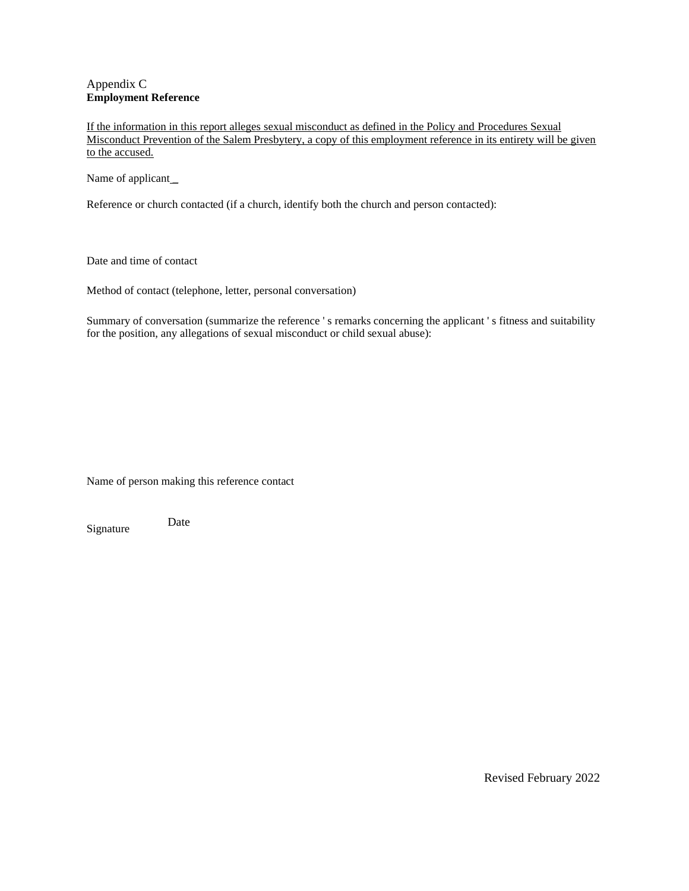### Appendix C **Employment Reference**

If the information in this report alleges sexual misconduct as defined in the Policy and Procedures Sexual Misconduct Prevention of the Salem Presbytery, a copy of this employment reference in its entirety will be given to the accused.

Name of applicant\_

Reference or church contacted (if a church, identify both the church and person contacted):

Date and time of contact

Method of contact (telephone, letter, personal conversation)

Summary of conversation (summarize the reference ' s remarks concerning the applicant ' s fitness and suitability for the position, any allegations of sexual misconduct or child sexual abuse):

Name of person making this reference contact

Signature Date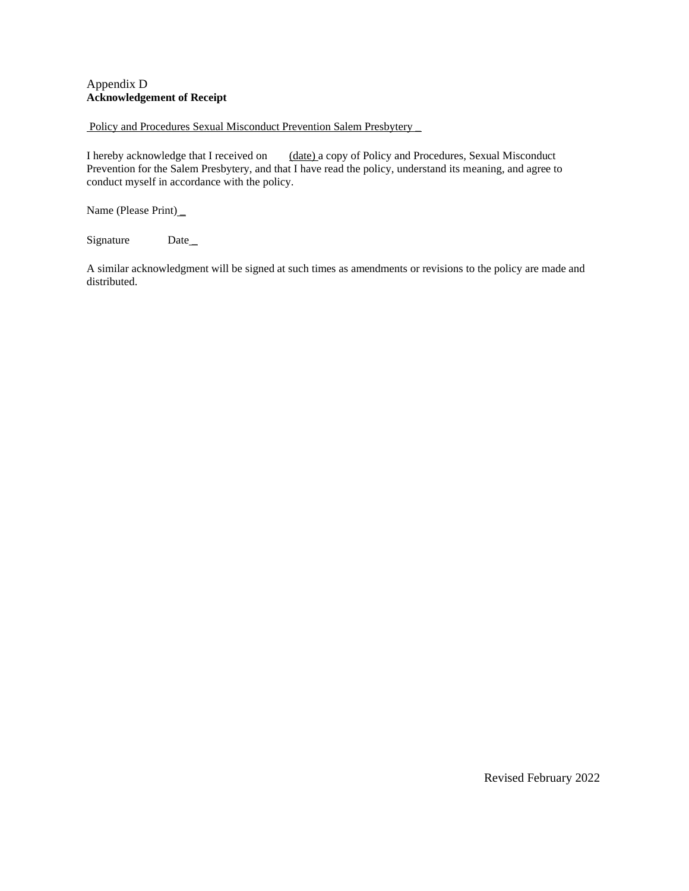### Appendix D **Acknowledgement of Receipt**

#### Policy and Procedures Sexual Misconduct Prevention Salem Presbytery \_

I hereby acknowledge that I received on (date) a copy of Policy and Procedures, Sexual Misconduct Prevention for the Salem Presbytery, and that I have read the policy, understand its meaning, and agree to conduct myself in accordance with the policy.

Name (Please Print)\_

Signature Date\_

A similar acknowledgment will be signed at such times as amendments or revisions to the policy are made and distributed.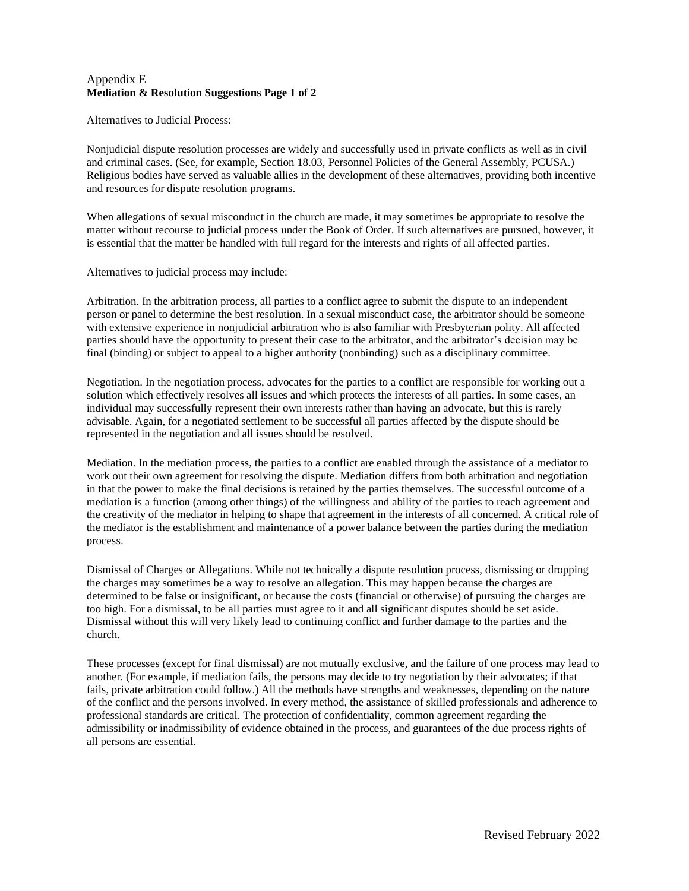### Appendix E **Mediation & Resolution Suggestions Page 1 of 2**

Alternatives to Judicial Process:

Nonjudicial dispute resolution processes are widely and successfully used in private conflicts as well as in civil and criminal cases. (See, for example, Section 18.03, Personnel Policies of the General Assembly, PCUSA.) Religious bodies have served as valuable allies in the development of these alternatives, providing both incentive and resources for dispute resolution programs.

When allegations of sexual misconduct in the church are made, it may sometimes be appropriate to resolve the matter without recourse to judicial process under the Book of Order. If such alternatives are pursued, however, it is essential that the matter be handled with full regard for the interests and rights of all affected parties.

Alternatives to judicial process may include:

Arbitration. In the arbitration process, all parties to a conflict agree to submit the dispute to an independent person or panel to determine the best resolution. In a sexual misconduct case, the arbitrator should be someone with extensive experience in nonjudicial arbitration who is also familiar with Presbyterian polity. All affected parties should have the opportunity to present their case to the arbitrator, and the arbitrator's decision may be final (binding) or subject to appeal to a higher authority (nonbinding) such as a disciplinary committee.

Negotiation. In the negotiation process, advocates for the parties to a conflict are responsible for working out a solution which effectively resolves all issues and which protects the interests of all parties. In some cases, an individual may successfully represent their own interests rather than having an advocate, but this is rarely advisable. Again, for a negotiated settlement to be successful all parties affected by the dispute should be represented in the negotiation and all issues should be resolved.

Mediation. In the mediation process, the parties to a conflict are enabled through the assistance of a mediator to work out their own agreement for resolving the dispute. Mediation differs from both arbitration and negotiation in that the power to make the final decisions is retained by the parties themselves. The successful outcome of a mediation is a function (among other things) of the willingness and ability of the parties to reach agreement and the creativity of the mediator in helping to shape that agreement in the interests of all concerned. A critical role of the mediator is the establishment and maintenance of a power balance between the parties during the mediation process.

Dismissal of Charges or Allegations. While not technically a dispute resolution process, dismissing or dropping the charges may sometimes be a way to resolve an allegation. This may happen because the charges are determined to be false or insignificant, or because the costs (financial or otherwise) of pursuing the charges are too high. For a dismissal, to be all parties must agree to it and all significant disputes should be set aside. Dismissal without this will very likely lead to continuing conflict and further damage to the parties and the church.

These processes (except for final dismissal) are not mutually exclusive, and the failure of one process may lead to another. (For example, if mediation fails, the persons may decide to try negotiation by their advocates; if that fails, private arbitration could follow.) All the methods have strengths and weaknesses, depending on the nature of the conflict and the persons involved. In every method, the assistance of skilled professionals and adherence to professional standards are critical. The protection of confidentiality, common agreement regarding the admissibility or inadmissibility of evidence obtained in the process, and guarantees of the due process rights of all persons are essential.